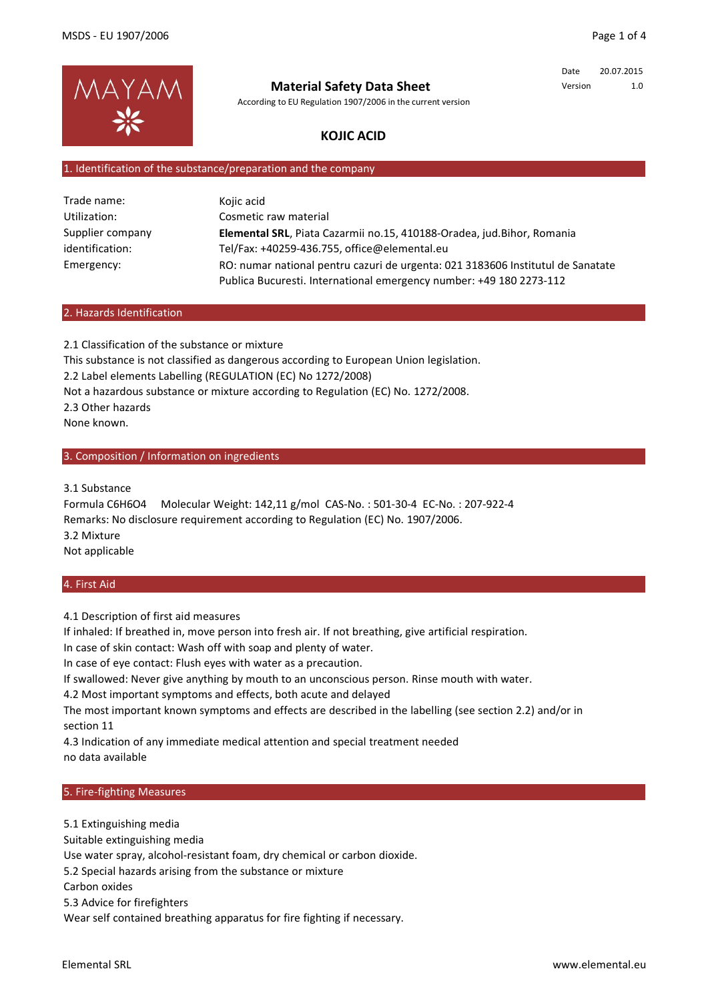

# **Material Safety Data Sheet**

According to EU Regulation 1907/2006 in the current version

Date 20.07.2015 Version 1.0

# **KOJIC ACID**

#### 1. Identification of the substance/preparation and the company

| Trade name:      | Kojic acid                                                                      |
|------------------|---------------------------------------------------------------------------------|
| Utilization:     | Cosmetic raw material                                                           |
| Supplier company | Elemental SRL, Piata Cazarmii no.15, 410188-Oradea, jud.Bihor, Romania          |
| identification:  | Tel/Fax: +40259-436.755, office@elemental.eu                                    |
| Emergency:       | RO: numar national pentru cazuri de urgenta: 021 3183606 Institutul de Sanatate |
|                  | Publica Bucuresti. International emergency number: +49 180 2273-112             |

#### 2. Hazards Identification

2.1 Classification of the substance or mixture This substance is not classified as dangerous according to European Union legislation. 2.2 Label elements Labelling (REGULATION (EC) No 1272/2008) Not a hazardous substance or mixture according to Regulation (EC) No. 1272/2008. 2.3 Other hazards None known.

## 3. Composition / Information on ingredients

3.1 Substance

Formula C6H6O4 Molecular Weight: 142,11 g/mol CAS-No. : 501-30-4 EC-No. : 207-922-4 Remarks: No disclosure requirement according to Regulation (EC) No. 1907/2006. 3.2 Mixture Not applicable

#### 4. First Aid

4.1 Description of first aid measures

If inhaled: If breathed in, move person into fresh air. If not breathing, give artificial respiration.

In case of skin contact: Wash off with soap and plenty of water.

In case of eye contact: Flush eyes with water as a precaution.

If swallowed: Never give anything by mouth to an unconscious person. Rinse mouth with water.

4.2 Most important symptoms and effects, both acute and delayed

The most important known symptoms and effects are described in the labelling (see section 2.2) and/or in section 11

4.3 Indication of any immediate medical attention and special treatment needed no data available

#### 5. Fire-fighting Measures

5.1 Extinguishing media Suitable extinguishing media Use water spray, alcohol-resistant foam, dry chemical or carbon dioxide. 5.2 Special hazards arising from the substance or mixture Carbon oxides 5.3 Advice for firefighters Wear self contained breathing apparatus for fire fighting if necessary.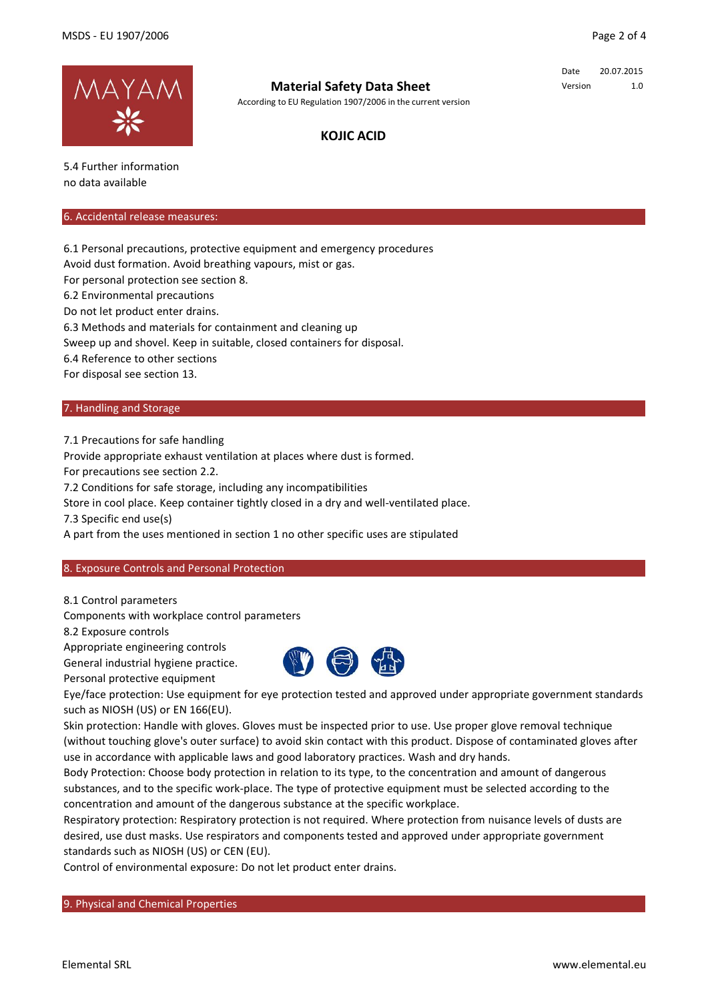

# **Material Safety Data Sheet**

According to EU Regulation 1907/2006 in the current version

Date 20.07.2015 Version 1.0

# **KOJIC ACID**

5.4 Further information no data available

#### 6. Accidental release measures:

6.1 Personal precautions, protective equipment and emergency procedures

Avoid dust formation. Avoid breathing vapours, mist or gas.

For personal protection see section 8.

6.2 Environmental precautions

Do not let product enter drains.

6.3 Methods and materials for containment and cleaning up

Sweep up and shovel. Keep in suitable, closed containers for disposal.

6.4 Reference to other sections

For disposal see section 13.

## 7. Handling and Storage

7.1 Precautions for safe handling

Provide appropriate exhaust ventilation at places where dust is formed.

For precautions see section 2.2.

7.2 Conditions for safe storage, including any incompatibilities

Store in cool place. Keep container tightly closed in a dry and well-ventilated place.

7.3 Specific end use(s)

A part from the uses mentioned in section 1 no other specific uses are stipulated

## 8. Exposure Controls and Personal Protection

8.1 Control parameters

Components with workplace control parameters

8.2 Exposure controls

Appropriate engineering controls

General industrial hygiene practice.

Personal protective equipment



Eye/face protection: Use equipment for eye protection tested and approved under appropriate government standards such as NIOSH (US) or EN 166(EU).

Skin protection: Handle with gloves. Gloves must be inspected prior to use. Use proper glove removal technique (without touching glove's outer surface) to avoid skin contact with this product. Dispose of contaminated gloves after use in accordance with applicable laws and good laboratory practices. Wash and dry hands.

Body Protection: Choose body protection in relation to its type, to the concentration and amount of dangerous substances, and to the specific work-place. The type of protective equipment must be selected according to the concentration and amount of the dangerous substance at the specific workplace.

Respiratory protection: Respiratory protection is not required. Where protection from nuisance levels of dusts are desired, use dust masks. Use respirators and components tested and approved under appropriate government standards such as NIOSH (US) or CEN (EU).

Control of environmental exposure: Do not let product enter drains.

9. Physical and Chemical Properties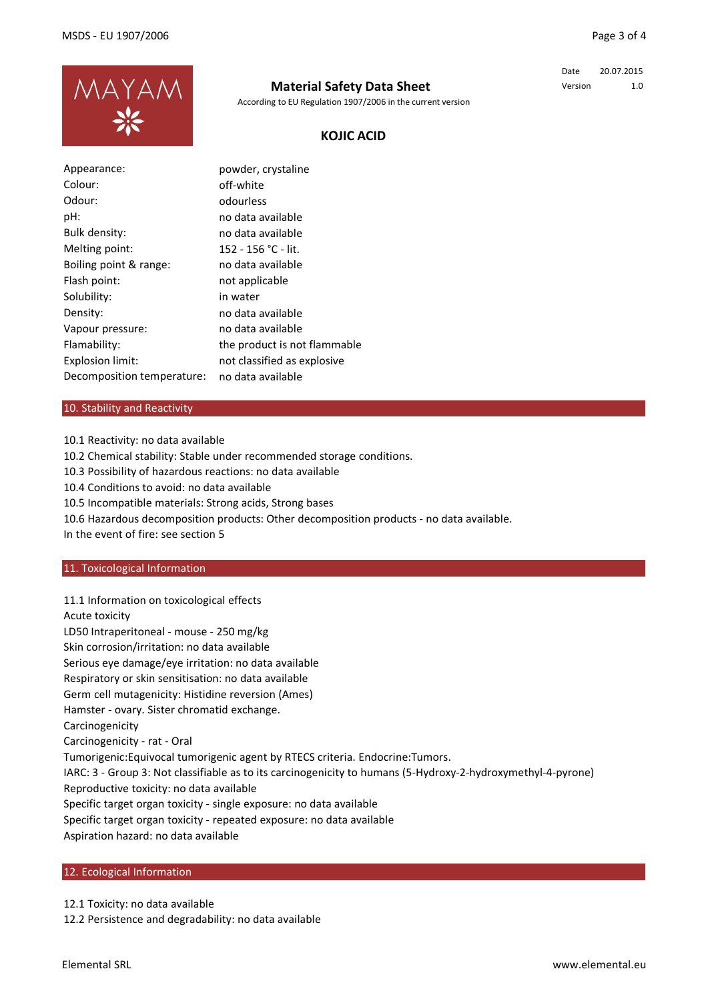

# **Material Safety Data Sheet**

According to EU Regulation 1907/2006 in the current version

Date 20.07.2015 Version 1.0

## **KOJIC ACID**

| Appearance:                | powder, crystaline           |
|----------------------------|------------------------------|
| Colour:                    | off-white                    |
| Odour:                     | odourless                    |
| pH:                        | no data available            |
| Bulk density:              | no data available            |
| Melting point:             | 152 - 156 °C - lit.          |
| Boiling point & range:     | no data available            |
| Flash point:               | not applicable               |
| Solubility:                | in water                     |
| Density:                   | no data available            |
| Vapour pressure:           | no data available            |
| Flamability:               | the product is not flammable |
| Explosion limit:           | not classified as explosive  |
| Decomposition temperature: | no data available            |

## 10. Stability and Reactivity

10.1 Reactivity: no data available 10.2 Chemical stability: Stable under recommended storage conditions. 10.3 Possibility of hazardous reactions: no data available 10.4 Conditions to avoid: no data available 10.5 Incompatible materials: Strong acids, Strong bases 10.6 Hazardous decomposition products: Other decomposition products - no data available. In the event of fire: see section 5

#### 11. Toxicological Information

11.1 Information on toxicological effects Acute toxicity LD50 Intraperitoneal - mouse - 250 mg/kg Skin corrosion/irritation: no data available Serious eye damage/eye irritation: no data available Respiratory or skin sensitisation: no data available Germ cell mutagenicity: Histidine reversion (Ames) Hamster - ovary. Sister chromatid exchange. Carcinogenicity Carcinogenicity - rat - Oral Tumorigenic:Equivocal tumorigenic agent by RTECS criteria. Endocrine:Tumors. IARC: 3 - Group 3: Not classifiable as to its carcinogenicity to humans (5-Hydroxy-2-hydroxymethyl-4-pyrone) Reproductive toxicity: no data available Specific target organ toxicity - single exposure: no data available Specific target organ toxicity - repeated exposure: no data available Aspiration hazard: no data available

#### 12. Ecological Information

12.1 Toxicity: no data available

12.2 Persistence and degradability: no data available